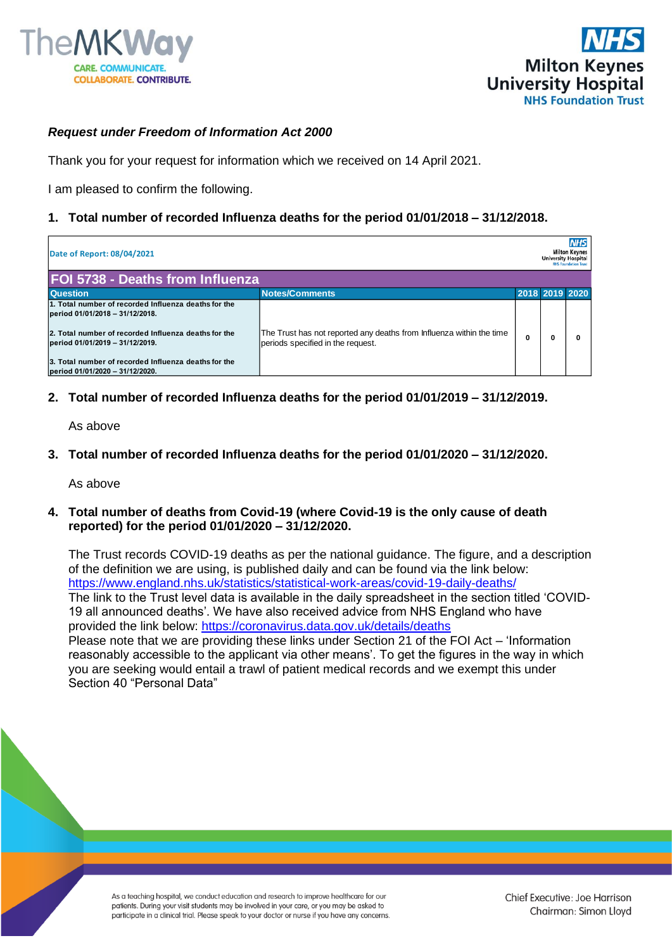



## *Request under Freedom of Information Act 2000*

Thank you for your request for information which we received on 14 April 2021.

I am pleased to confirm the following.

## **1. Total number of recorded Influenza deaths for the period 01/01/2018 – 31/12/2018.**

| Date of Report: 08/04/2021                                                              |                                                                                                           |  | <b>NHS</b><br><b>Milton Keynes</b><br><b>University Hospital</b><br><b>NHS Foundation Trust</b> |   |  |
|-----------------------------------------------------------------------------------------|-----------------------------------------------------------------------------------------------------------|--|-------------------------------------------------------------------------------------------------|---|--|
| <b>FOI 5738 - Deaths from Influenza</b>                                                 |                                                                                                           |  |                                                                                                 |   |  |
| <b>Question</b>                                                                         | <b>Notes/Comments</b>                                                                                     |  | 2018 2019 2020                                                                                  |   |  |
| 1. Total number of recorded Influenza deaths for the<br>period 01/01/2018 - 31/12/2018. |                                                                                                           |  |                                                                                                 |   |  |
| 2. Total number of recorded Influenza deaths for the<br>period 01/01/2019 - 31/12/2019. | The Trust has not reported any deaths from Influenza within the time<br>periods specified in the request. |  |                                                                                                 | o |  |
| 3. Total number of recorded Influenza deaths for the<br>period 01/01/2020 - 31/12/2020. |                                                                                                           |  |                                                                                                 |   |  |

**2. Total number of recorded Influenza deaths for the period 01/01/2019 – 31/12/2019.**

As above

**3. Total number of recorded Influenza deaths for the period 01/01/2020 – 31/12/2020.**

As above

**4. Total number of deaths from Covid-19 (where Covid-19 is the only cause of death reported) for the period 01/01/2020 – 31/12/2020.**

The Trust records COVID-19 deaths as per the national guidance. The figure, and a description of the definition we are using, is published daily and can be found via the link below: <https://www.england.nhs.uk/statistics/statistical-work-areas/covid-19-daily-deaths/> The link to the Trust level data is available in the daily spreadsheet in the section titled 'COVID-19 all announced deaths'. We have also received advice from NHS England who have provided the link below:<https://coronavirus.data.gov.uk/details/deaths> Please note that we are providing these links under Section 21 of the FOI Act – 'Information reasonably accessible to the applicant via other means'. To get the figures in the way in which you are seeking would entail a trawl of patient medical records and we exempt this under Section 40 "Personal Data"

As a teaching hospital, we conduct education and research to improve healthcare for our patients. During your visit students may be involved in your care, or you may be asked to participate in a clinical trial. Please speak to your doctor or nurse if you have any concerns. Chief Executive: Joe Harrison Chairman: Simon Lloyd